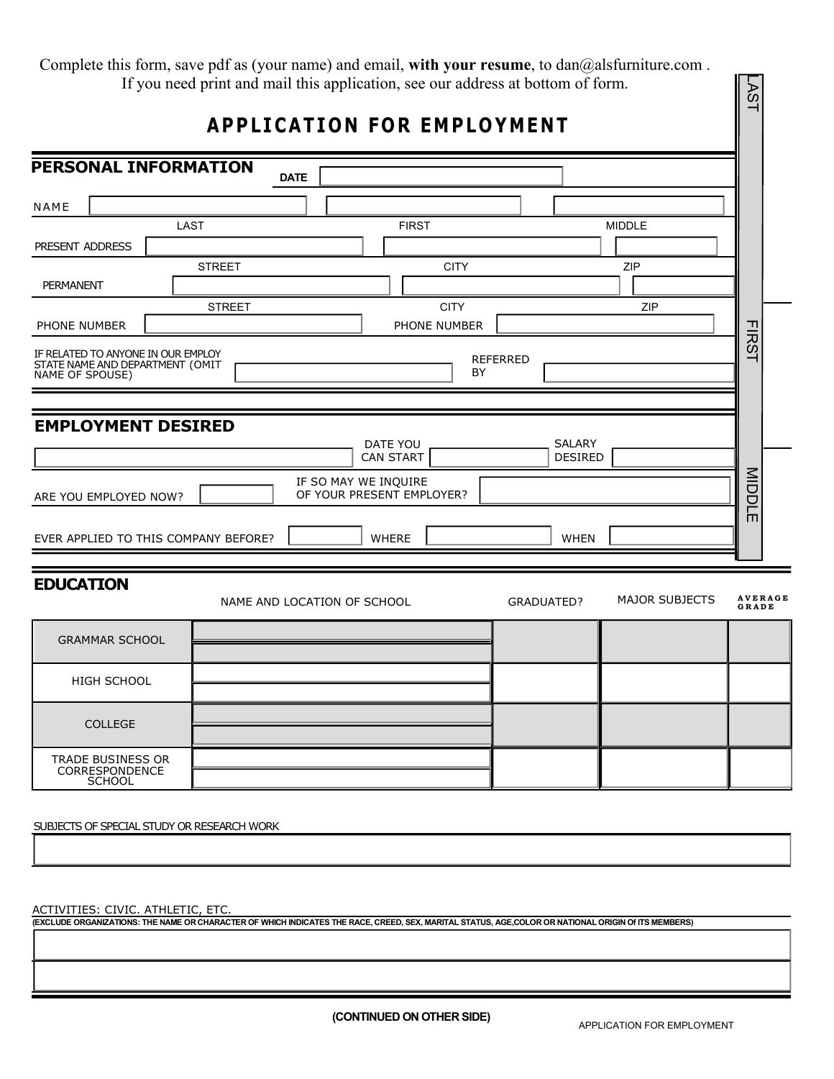|                                                                                          |               | Complete this form, save pdf as (your name) and email, with your resume, to dan@alsfurniture.com.<br>If you need print and mail this application, see our address at bottom of form. |                          |                       | <b>AST</b>              |
|------------------------------------------------------------------------------------------|---------------|--------------------------------------------------------------------------------------------------------------------------------------------------------------------------------------|--------------------------|-----------------------|-------------------------|
|                                                                                          |               | <b>APPLICATION FOR EMPLOYMENT</b>                                                                                                                                                    |                          |                       |                         |
| PERSONAL INFORMATION                                                                     | <b>DATE</b>   |                                                                                                                                                                                      |                          |                       |                         |
| NAME                                                                                     |               |                                                                                                                                                                                      |                          |                       |                         |
| PRESENT ADDRESS                                                                          | <b>LAST</b>   | <b>FIRST</b>                                                                                                                                                                         |                          | <b>MIDDLE</b>         |                         |
| <b>PERMANENT</b>                                                                         | <b>STREET</b> | <b>CITY</b>                                                                                                                                                                          |                          | ZIP                   |                         |
| PHONE NUMBER                                                                             | <b>STREET</b> | <b>CITY</b><br>PHONE NUMBER                                                                                                                                                          |                          | ZIP                   |                         |
| IF RELATED TO ANYONE IN OUR EMPLOY<br>STATE NAME AND DEPARTMENT (OMIT<br>NAME OF SPOUSE) |               |                                                                                                                                                                                      | <b>REFERRED</b><br>BY    |                       | <b>FIRST</b>            |
| <b>EMPLOYMENT DESIRED</b>                                                                |               | DATE YOU<br>CAN START                                                                                                                                                                | SALARY<br><b>DESIRED</b> |                       |                         |
| ARE YOU EMPLOYED NOW?                                                                    |               | IF SO MAY WE INQUIRE<br>OF YOUR PRESENT EMPLOYER?                                                                                                                                    |                          |                       | <b>MIDDLE</b>           |
| EVER APPLIED TO THIS COMPANY BEFORE?                                                     |               | WHERE                                                                                                                                                                                | <b>WHEN</b>              |                       |                         |
| <b>EDUCATION</b>                                                                         |               | NAME AND LOCATION OF SCHOOL                                                                                                                                                          | GRADUATED?               | <b>MAJOR SUBJECTS</b> | <b>AVERAGE</b><br>GRADE |
| <b>GRAMMAR SCHOOL</b>                                                                    |               |                                                                                                                                                                                      |                          |                       |                         |
| <b>HIGH SCHOOL</b>                                                                       |               |                                                                                                                                                                                      |                          |                       |                         |
| <b>COLLEGE</b>                                                                           |               |                                                                                                                                                                                      |                          |                       |                         |
| <b>TRADE BUSINESS OR</b>                                                                 |               |                                                                                                                                                                                      |                          |                       |                         |

SUBJECTS OF SPECIAL STUDY OR RESEARCH WORK

ACTIVITIES: CIVIC. ATHLETIC, ETC.

CORRESPONDENCE SCHOOL

**(EXCLUDE ORGANIZATIONS: THE NAME OR CHARACTER OF WHICH INDICATES THE RACE, CREED, SEX, MARITAL STATUS, AGE,COLOR OR NATIONAL ORIGIN Of ITS MEMBERS)**